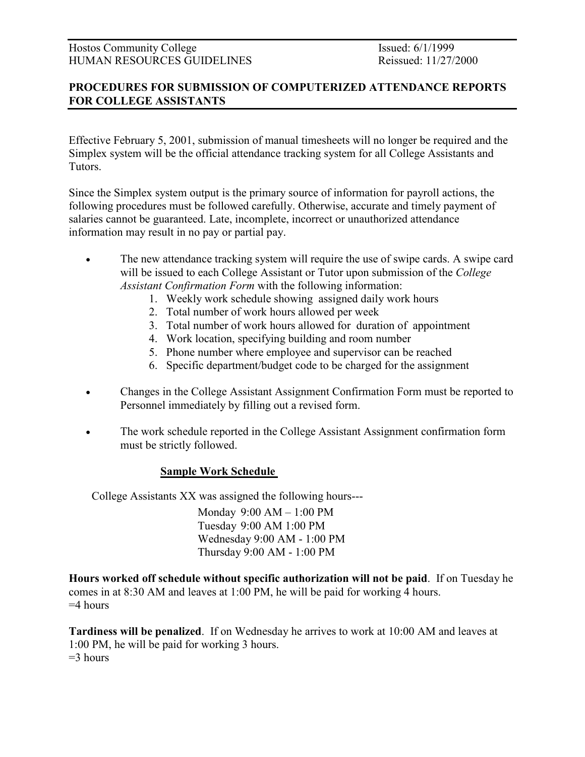## PROCEDURES FOR SUBMISSION OF COMPUTERIZED ATTENDANCE REPORTS FOR COLLEGE ASSISTANTS

Effective February 5, 2001, submission of manual timesheets will no longer be required and the Simplex system will be the official attendance tracking system for all College Assistants and Tutors.

Since the Simplex system output is the primary source of information for payroll actions, the following procedures must be followed carefully. Otherwise, accurate and timely payment of salaries cannot be guaranteed. Late, incomplete, incorrect or unauthorized attendance information may result in no pay or partial pay.

- The new attendance tracking system will require the use of swipe cards. A swipe card will be issued to each College Assistant or Tutor upon submission of the College Assistant Confirmation Form with the following information:
	- 1. Weekly work schedule showing assigned daily work hours
	- 2. Total number of work hours allowed per week
	- 3. Total number of work hours allowed for duration of appointment
	- 4. Work location, specifying building and room number
	- 5. Phone number where employee and supervisor can be reached
	- 6. Specific department/budget code to be charged for the assignment
- Changes in the College Assistant Assignment Confirmation Form must be reported to Personnel immediately by filling out a revised form.
- The work schedule reported in the College Assistant Assignment confirmation form must be strictly followed.

## Sample Work Schedule

College Assistants XX was assigned the following hours---

 Monday 9:00 AM – 1:00 PM Tuesday 9:00 AM 1:00 PM Wednesday 9:00 AM - 1:00 PM Thursday 9:00 AM - 1:00 PM

Hours worked off schedule without specific authorization will not be paid. If on Tuesday he comes in at 8:30 AM and leaves at 1:00 PM, he will be paid for working 4 hours.  $=4$  hours

Tardiness will be penalized. If on Wednesday he arrives to work at 10:00 AM and leaves at 1:00 PM, he will be paid for working 3 hours.  $=$ 3 hours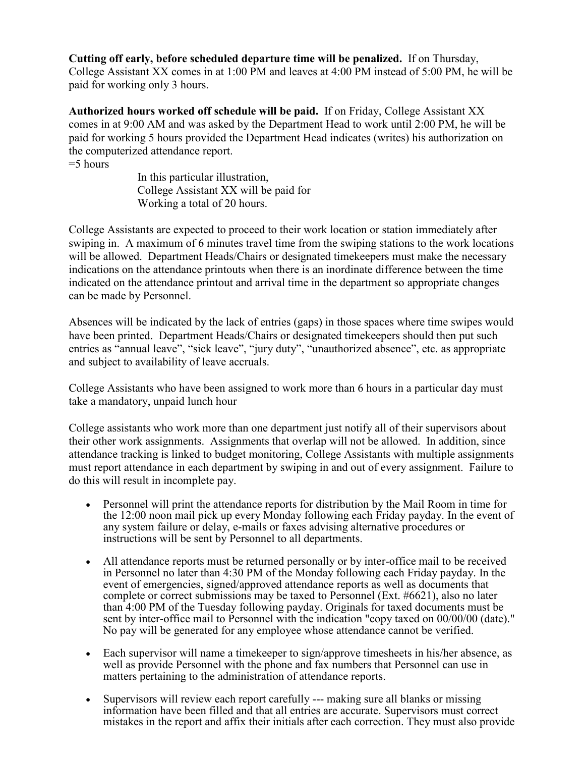Cutting off early, before scheduled departure time will be penalized. If on Thursday, College Assistant XX comes in at 1:00 PM and leaves at 4:00 PM instead of 5:00 PM, he will be paid for working only 3 hours.

Authorized hours worked off schedule will be paid. If on Friday, College Assistant XX comes in at 9:00 AM and was asked by the Department Head to work until 2:00 PM, he will be paid for working 5 hours provided the Department Head indicates (writes) his authorization on the computerized attendance report.

 $=$  5 hours

 In this particular illustration, College Assistant XX will be paid for Working a total of 20 hours.

College Assistants are expected to proceed to their work location or station immediately after swiping in. A maximum of 6 minutes travel time from the swiping stations to the work locations will be allowed. Department Heads/Chairs or designated timekeepers must make the necessary indications on the attendance printouts when there is an inordinate difference between the time indicated on the attendance printout and arrival time in the department so appropriate changes can be made by Personnel.

Absences will be indicated by the lack of entries (gaps) in those spaces where time swipes would have been printed. Department Heads/Chairs or designated timekeepers should then put such entries as "annual leave", "sick leave", "jury duty", "unauthorized absence", etc. as appropriate and subject to availability of leave accruals.

College Assistants who have been assigned to work more than 6 hours in a particular day must take a mandatory, unpaid lunch hour

College assistants who work more than one department just notify all of their supervisors about their other work assignments. Assignments that overlap will not be allowed. In addition, since attendance tracking is linked to budget monitoring, College Assistants with multiple assignments must report attendance in each department by swiping in and out of every assignment. Failure to do this will result in incomplete pay.

- Personnel will print the attendance reports for distribution by the Mail Room in time for the 12:00 noon mail pick up every Monday following each Friday payday. In the event of any system failure or delay, e-mails or faxes advising alternative procedures or instructions will be sent by Personnel to all departments.
- All attendance reports must be returned personally or by inter-office mail to be received in Personnel no later than 4:30 PM of the Monday following each Friday payday. In the event of emergencies, signed/approved attendance reports as well as documents that complete or correct submissions may be taxed to Personnel (Ext. #6621), also no later than 4:00 PM of the Tuesday following payday. Originals for taxed documents must be sent by inter-office mail to Personnel with the indication "copy taxed on 00/00/00 (date)." No pay will be generated for any employee whose attendance cannot be verified.
- Each supervisor will name a timekeeper to sign/approve timesheets in his/her absence, as well as provide Personnel with the phone and fax numbers that Personnel can use in matters pertaining to the administration of attendance reports.
- Supervisors will review each report carefully --- making sure all blanks or missing information have been filled and that all entries are accurate. Supervisors must correct mistakes in the report and affix their initials after each correction. They must also provide